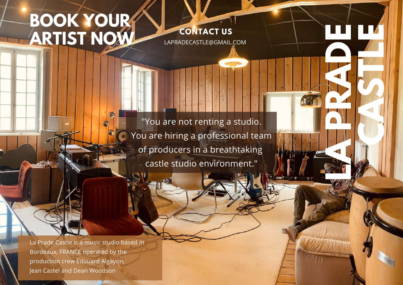# **BOOK YOUR ARTIST NOW**

**CONTACT US** [LAPRADECASTLE@GMAIL.COM](mailto:lapradecastle@gmail.com) **LA PRADE** 

**CASTLE** 

"You are not renting a studio. You are hiring a professional team of producers in a breathtaking castle studio environment."

La Prade Castle is a music studio based in Bordeaux, FRANCE operated by the production crew Edouard Algayon, Jean Castel and Dean Woodson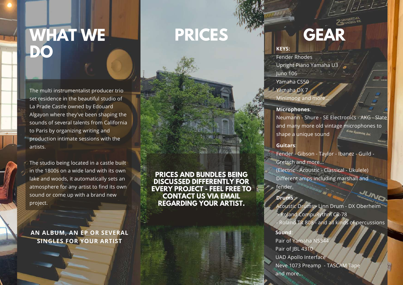# **WHAT WE DO**

The multi instrumentalist producer trio set residence in the beautiful studio of La Prade Castle owned by Edouard Algayon where they've been shaping the sounds of several talents from California to Paris by organizing writing and production intimate sessions with the artists.

The studio being located in a castle built in the 1800s on a wide land with its own lake and woods, it automatically sets an atmosphere for any artist to find its own sound or come up with a brand new project.

**AN ALBUM, AN EP OR SEVERAL SINGLES FOR YOUR ARTIST**

**PRICES AND BUNDLES BEING DISCUSSED DIFFERENTLY FOR EVERY PROJECT - FEEL FREE TO CONTACT US VIA EMAIL REGARDING YOUR ARTIST.**

**PRICES**

# **GEAR**

#### **KEYS:**

Fender Rhodes Upright Piano Yamaha U3 Juno 106

Yamaha CS50

Yamaha DX 7 Minimoog and more

#### **Microphones**:

Neumann - Shure - SE Electronics - AKG - Slate and many more old vintage microphones to  $\frac{1}{2}$ shape a unique sound

#### **Guitars**:

Fender - Gibson - Taylor - Ibanez - Guild - Gretsch and more...

(Electric - Acoustic - Classical - Ukulele) Different amps including marshall and fender.

### **Drums**:

Acoustic Drums - Linn Drum - DX Oberheim - Roland CompuRythm CR-78 - Roland TR 808 - and all kinds of percussions

#### **Sound**:

Pair of Yamaha NS344 Pair of JBL 4310 UAD Apollo Interface Neve 1073 Preamp - TASCAM Tape and more...